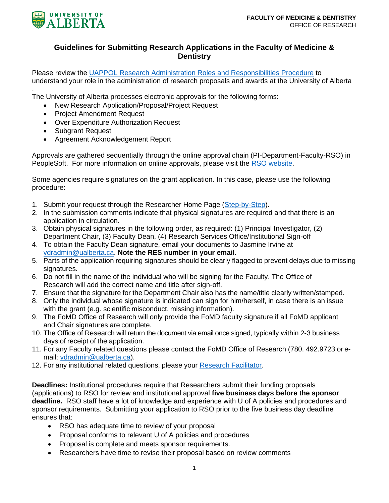

## **Guidelines for Submitting Research Applications in the Faculty of Medicine & Dentistry**

Please review the [UAPPOL Research Administration Roles and Responsibilities Procedure](https://policiesonline.ualberta.ca/PoliciesProcedures/Procedures/Research-Administration-Roles-and-Responsibilities-Procedure.pdf) to understand your role in the administration of research proposals and awards at the University of Alberta

. The University of Alberta processes electronic approvals for the following forms:

- New Research Application/Proposal/Project Request
- Project Amendment Request
- Over Expenditure Authorization Request
- Subgrant Request
- Agreement Acknowledgement Report

Approvals are gathered sequentially through the online approval chain (PI-Department-Faculty-RSO) in PeopleSoft. For more information on online approvals, please visit the [RSO website.](https://www.ualberta.ca/research-services-office/proposal-submission/index.html)

Some agencies require signatures on the grant application. In this case, please use the following procedure:

- 1. Submit your request through the Researcher Home Page [\(Step-by-Step\)](https://www.ualberta.ca/research-services-office/media-library/forms/qrg-request-new-application-proposal-project-with-online-approval-june-2019.pdf).
- 2. In the submission comments indicate that physical signatures are required and that there is an application in circulation.
- 3. Obtain physical signatures in the following order, as required: (1) Principal Investigator, (2) Department Chair, (3) Faculty Dean, (4) Research Services Office/Institutional Sign-off
- 4. To obtain the Faculty Dean signature, email your documents to Jasmine Irvine at [vdradmin@ualberta.ca.](mailto:vdradmin@ualberta.ca) **Note the RES number in your email.**
- 5. Parts of the application requiring signatures should be clearly flagged to prevent delays due to missing signatures.
- 6. Do not fill in the name of the individual who will be signing for the Faculty. The Office of Research will add the correct name and title after sign-off.
- 7. Ensure that the signature for the Department Chair also has the name/title clearly written/stamped.
- 8. Only the individual whose signature is indicated can sign for him/herself, in case there is an issue with the grant (e.g. scientific misconduct, missing information).
- 9. The FoMD Office of Research will only provide the FoMD faculty signature if all FoMD applicant and Chair signatures are complete.
- 10. The Office of Research will return the document via email once signed, typically within 2-3 business days of receipt of the application.
- 11. For any Faculty related questions please contact the FoMD Office of Research (780. 492.9723 or email: [vdradmin@ualberta.ca\)](mailto:vdradmin@ualberta.ca).
- 12. For any institutional related questions, please your [Research Facilitator.](https://www.ualberta.ca/research-services-office/about/contact-us/research-facilitators-by-faculty.html)

**Deadlines:** Institutional procedures require that Researchers submit their funding proposals (applications) to RSO for review and institutional approval **five business days before the sponsor deadline.** RSO staff have a lot of knowledge and experience with U of A policies and procedures and sponsor requirements. Submitting your application to RSO prior to the five business day deadline ensures that:

- RSO has adequate time to review of your proposal
- Proposal conforms to relevant U of A policies and procedures
- Proposal is complete and meets sponsor requirements.
- Researchers have time to revise their proposal based on review comments